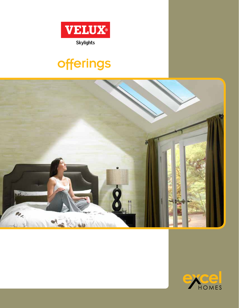

# offerings



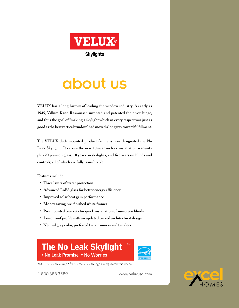

# about us

**VELUX has a long history of leading the window industry. As early as 1945, Villum Kann Rasmussen invented and patented the pivot-hinge, and thus the goal of "making a skylight which in every respect was just as good as the best vertical window" had moved a long way toward fulfillment.** 

**The VELUX deck mounted product family is now designated the No Leak Skylight. It carries the new 10-year no leak installation warranty plus 20 years on glass, 10 years on skylights, and five years on blinds and controls; all of which are fully transferable.** 

**Features include:** 

- **• Three layers of water protection**
- **• Advanced LoE3 glass for better energy efficiency**
- **• Improved solar heat gain performance**
- **• Money saving pre-finished white frames**
- **• Pre-mounted brackets for quick installation of sunscreen blinds**
- **• Lower roof profile with an updated curved architectural design**
- **• Neutral gray color, preferred by consumers and builders**

## **The No Leak Skylight** ™ • No Leak Promise • No Worries



©2010 VELUX Group • ®VELUX, VELUX logo are registered trademarks

1-800-888-3589 www.veluxusa.com

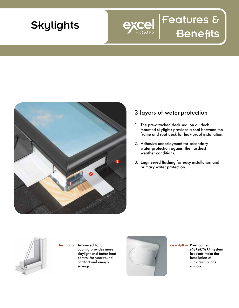

# 1 2 3

## 3 layers of water protection

1. The pre-attached deck seal on all deck mounted skylights provides a seal between the frame and roof deck for leak-proof installation.

Features &

- Adhesive underlayment for secondary 2. water protection against the harshest weather conditions.
- 3. Engineered flashing for easy installation and primary water protection.



description: Advanced LoE3 coating provides more daylight and better heat control for year-round comfort and energy savings.



description: Pre-mounted *Pick&Click!*" system brackets make the installation of sunscreen blinds a snap.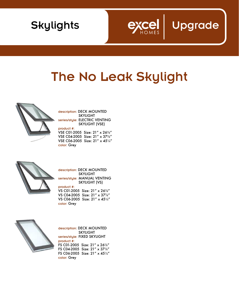



## The No Leak Skylight



description: DECK MOUNTED SKYLIGHT series/style: ELECTRIC VENTING SKYLIGHT (VSE)

product #: VSE C01-2005 Size: 21" x 267⁄8" VSE C04-2005 Size: 21" x 377⁄8" VSE C06-2005 Size: 21" x 451⁄4" color: Grey



description: DECK MOUNTED SKYLIGHT series/style: MANUAL VENTING SKYLIGHT (VS) product #: VS C01-2005 Size: 21" x 267⁄8"

VS C04-2005 Size: 21" x 377⁄8" VS C06-2005 Size: 21" x 451⁄4" color: Grey



description: DECK MOUNTED SKYLIGHT series/style: FIXED SKYLIGHT product #: FS C01-2005 Size: 21" x 267⁄8" FS C04-2005 Size: 21" x 377⁄8" FS C06-2005 Size: 21" x 451/4" color: Grey